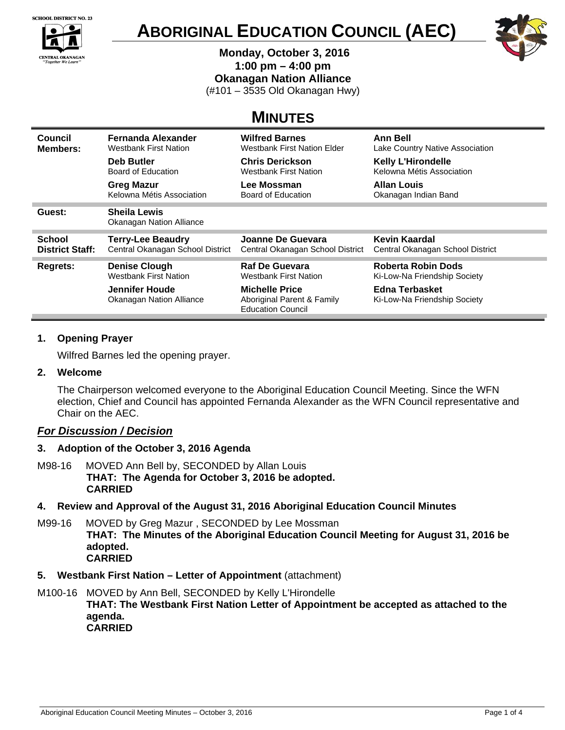

**CENTRAL OKANAGAN**<br>"Together We Learn"

 $\bullet$ 

 $\overline{\bullet}$ 





 **Monday, October 3, 2016** 

**1:00 pm – 4:00 pm** 

**Okanagan Nation Alliance** 

(#101 – 3535 Old Okanagan Hwy)

# **MINUTES**

| Council<br><b>Members:</b>              | <b>Fernanda Alexander</b><br><b>Westbank First Nation</b><br><b>Deb Butler</b><br>Board of Education<br><b>Greg Mazur</b> | <b>Wilfred Barnes</b><br>Westbank First Nation Elder<br><b>Chris Derickson</b><br><b>Westbank First Nation</b><br>Lee Mossman | <b>Ann Bell</b><br>Lake Country Native Association<br><b>Kelly L'Hirondelle</b><br>Kelowna Métis Association<br><b>Allan Louis</b> |
|-----------------------------------------|---------------------------------------------------------------------------------------------------------------------------|-------------------------------------------------------------------------------------------------------------------------------|------------------------------------------------------------------------------------------------------------------------------------|
|                                         | Kelowna Métis Association                                                                                                 | Board of Education                                                                                                            | Okanagan Indian Band                                                                                                               |
| Guest:                                  | <b>Sheila Lewis</b><br><b>Okanagan Nation Alliance</b>                                                                    |                                                                                                                               |                                                                                                                                    |
| <b>School</b><br><b>District Staff:</b> | <b>Terry-Lee Beaudry</b><br>Central Okanagan School District                                                              | Joanne De Guevara<br>Central Okanagan School District                                                                         | Kevin Kaardal<br>Central Okanagan School District                                                                                  |
| <b>Regrets:</b>                         | <b>Denise Clough</b><br><b>Westbank First Nation</b>                                                                      | <b>Raf De Guevara</b><br>Westbank First Nation                                                                                | Roberta Robin Dods<br>Ki-Low-Na Friendship Society                                                                                 |
|                                         | Jennifer Houde<br>Okanagan Nation Alliance                                                                                | <b>Michelle Price</b><br>Aboriginal Parent & Family<br><b>Education Council</b>                                               | <b>Edna Terbasket</b><br>Ki-Low-Na Friendship Society                                                                              |

## **1. Opening Prayer**

Wilfred Barnes led the opening prayer.

## **2. Welcome**

The Chairperson welcomed everyone to the Aboriginal Education Council Meeting. Since the WFN election, Chief and Council has appointed Fernanda Alexander as the WFN Council representative and Chair on the AEC.

## *For Discussion / Decision*

## **3. Adoption of the October 3, 2016 Agenda**

- M98-16MOVED Ann Bell by, SECONDED by Allan Louis **THAT: The Agenda for October 3, 2016 be adopted. CARRIED**
- **4. Review and Approval of the August 31, 2016 Aboriginal Education Council Minutes**
- M99-16MOVED by Greg Mazur , SECONDED by Lee Mossman **THAT: The Minutes of the Aboriginal Education Council Meeting for August 31, 2016 be adopted. CARRIED**
- **5. Westbank First Nation Letter of Appointment** (attachment)
- M100-16 MOVED by Ann Bell, SECONDED by Kelly L'Hirondelle **THAT: The Westbank First Nation Letter of Appointment be accepted as attached to the agenda. CARRIED**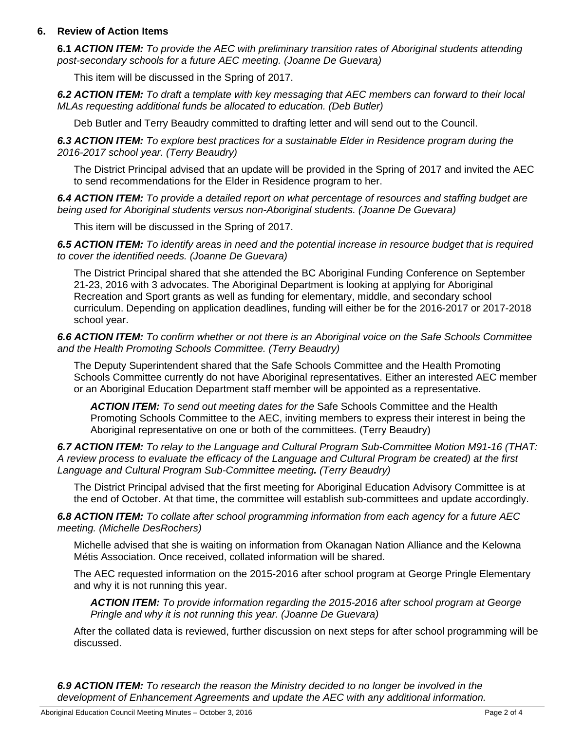## **6. Review of Action Items**

**6.1** *ACTION ITEM: To provide the AEC with preliminary transition rates of Aboriginal students attending post-secondary schools for a future AEC meeting. (Joanne De Guevara)*

This item will be discussed in the Spring of 2017.

*6.2 ACTION ITEM: To draft a template with key messaging that AEC members can forward to their local MLAs requesting additional funds be allocated to education. (Deb Butler)* 

Deb Butler and Terry Beaudry committed to drafting letter and will send out to the Council.

*6.3 ACTION ITEM: To explore best practices for a sustainable Elder in Residence program during the 2016-2017 school year. (Terry Beaudry)* 

The District Principal advised that an update will be provided in the Spring of 2017 and invited the AEC to send recommendations for the Elder in Residence program to her.

*6.4 ACTION ITEM: To provide a detailed report on what percentage of resources and staffing budget are being used for Aboriginal students versus non-Aboriginal students. (Joanne De Guevara)* 

This item will be discussed in the Spring of 2017.

*6.5 ACTION ITEM: To identify areas in need and the potential increase in resource budget that is required to cover the identified needs. (Joanne De Guevara)* 

The District Principal shared that she attended the BC Aboriginal Funding Conference on September 21-23, 2016 with 3 advocates. The Aboriginal Department is looking at applying for Aboriginal Recreation and Sport grants as well as funding for elementary, middle, and secondary school curriculum. Depending on application deadlines, funding will either be for the 2016-2017 or 2017-2018 school year.

*6.6 ACTION ITEM: To confirm whether or not there is an Aboriginal voice on the Safe Schools Committee and the Health Promoting Schools Committee. (Terry Beaudry)* 

The Deputy Superintendent shared that the Safe Schools Committee and the Health Promoting Schools Committee currently do not have Aboriginal representatives. Either an interested AEC member or an Aboriginal Education Department staff member will be appointed as a representative.

*ACTION ITEM: To send out meeting dates for the* Safe Schools Committee and the Health Promoting Schools Committee to the AEC, inviting members to express their interest in being the Aboriginal representative on one or both of the committees. (Terry Beaudry)

*6.7 ACTION ITEM: To relay to the Language and Cultural Program Sub-Committee Motion M91-16 (THAT: A review process to evaluate the efficacy of the Language and Cultural Program be created) at the first Language and Cultural Program Sub-Committee meeting. (Terry Beaudry)* 

The District Principal advised that the first meeting for Aboriginal Education Advisory Committee is at the end of October. At that time, the committee will establish sub-committees and update accordingly.

*6.8 ACTION ITEM: To collate after school programming information from each agency for a future AEC meeting. (Michelle DesRochers)* 

Michelle advised that she is waiting on information from Okanagan Nation Alliance and the Kelowna Métis Association. Once received, collated information will be shared.

The AEC requested information on the 2015-2016 after school program at George Pringle Elementary and why it is not running this year.

*ACTION ITEM: To provide information regarding the 2015-2016 after school program at George Pringle and why it is not running this year. (Joanne De Guevara)*

After the collated data is reviewed, further discussion on next steps for after school programming will be discussed.

*6.9 ACTION ITEM: To research the reason the Ministry decided to no longer be involved in the development of Enhancement Agreements and update the AEC with any additional information.*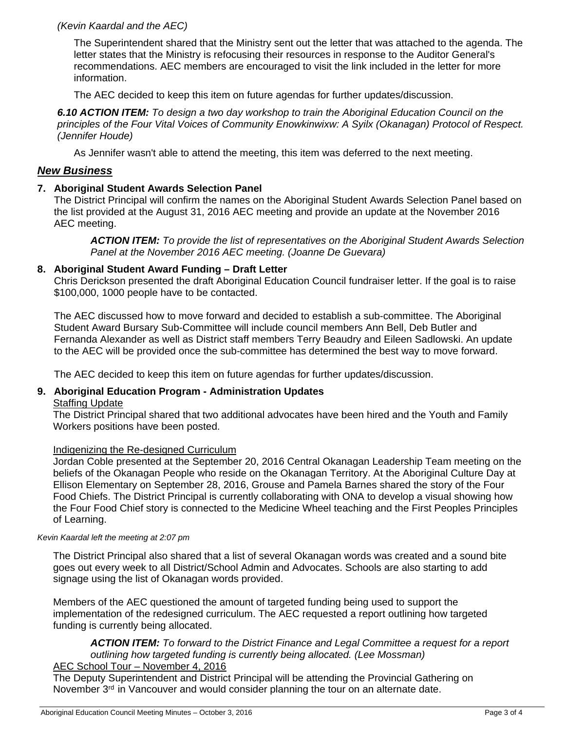## *(Kevin Kaardal and the AEC)*

The Superintendent shared that the Ministry sent out the letter that was attached to the agenda. The letter states that the Ministry is refocusing their resources in response to the Auditor General's recommendations. AEC members are encouraged to visit the link included in the letter for more information.

The AEC decided to keep this item on future agendas for further updates/discussion.

*6.10 ACTION ITEM: To design a two day workshop to train the Aboriginal Education Council on the principles of the Four Vital Voices of Community Enowkinwixw: A Syilx (Okanagan) Protocol of Respect. (Jennifer Houde)* 

As Jennifer wasn't able to attend the meeting, this item was deferred to the next meeting.

## *New Business*

## **7. Aboriginal Student Awards Selection Panel**

The District Principal will confirm the names on the Aboriginal Student Awards Selection Panel based on the list provided at the August 31, 2016 AEC meeting and provide an update at the November 2016 AEC meeting.

*ACTION ITEM: To provide the list of representatives on the Aboriginal Student Awards Selection Panel at the November 2016 AEC meeting. (Joanne De Guevara)*

#### **8. Aboriginal Student Award Funding – Draft Letter**

Chris Derickson presented the draft Aboriginal Education Council fundraiser letter. If the goal is to raise \$100,000, 1000 people have to be contacted.

The AEC discussed how to move forward and decided to establish a sub-committee. The Aboriginal Student Award Bursary Sub-Committee will include council members Ann Bell, Deb Butler and Fernanda Alexander as well as District staff members Terry Beaudry and Eileen Sadlowski. An update to the AEC will be provided once the sub-committee has determined the best way to move forward.

The AEC decided to keep this item on future agendas for further updates/discussion.

## **9. Aboriginal Education Program - Administration Updates**

## Staffing Update

The District Principal shared that two additional advocates have been hired and the Youth and Family Workers positions have been posted.

#### Indigenizing the Re-designed Curriculum

Jordan Coble presented at the September 20, 2016 Central Okanagan Leadership Team meeting on the beliefs of the Okanagan People who reside on the Okanagan Territory. At the Aboriginal Culture Day at Ellison Elementary on September 28, 2016, Grouse and Pamela Barnes shared the story of the Four Food Chiefs. The District Principal is currently collaborating with ONA to develop a visual showing how the Four Food Chief story is connected to the Medicine Wheel teaching and the First Peoples Principles of Learning.

#### *Kevin Kaardal left the meeting at 2:07 pm*

The District Principal also shared that a list of several Okanagan words was created and a sound bite goes out every week to all District/School Admin and Advocates. Schools are also starting to add signage using the list of Okanagan words provided.

Members of the AEC questioned the amount of targeted funding being used to support the implementation of the redesigned curriculum. The AEC requested a report outlining how targeted funding is currently being allocated.

## *ACTION ITEM: To forward to the District Finance and Legal Committee a request for a report outlining how targeted funding is currently being allocated. (Lee Mossman)*

## AEC School Tour – November 4, 2016

The Deputy Superintendent and District Principal will be attending the Provincial Gathering on November 3<sup>rd</sup> in Vancouver and would consider planning the tour on an alternate date.